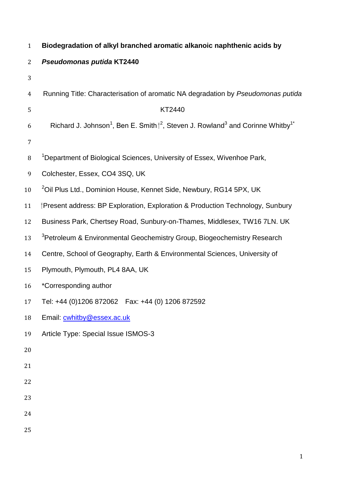| $\mathbf{1}$   | Biodegradation of alkyl branched aromatic alkanoic naphthenic acids by                                                 |
|----------------|------------------------------------------------------------------------------------------------------------------------|
| $\overline{2}$ | Pseudomonas putida KT2440                                                                                              |
| 3              |                                                                                                                        |
| $\overline{4}$ | Running Title: Characterisation of aromatic NA degradation by Pseudomonas putida                                       |
| 5              | KT2440                                                                                                                 |
| 6              | Richard J. Johnson <sup>1</sup> , Ben E. Smith $I^2$ , Steven J. Rowland <sup>3</sup> and Corinne Whitby <sup>1*</sup> |
| 7              |                                                                                                                        |
| $\, 8$         | <sup>1</sup> Department of Biological Sciences, University of Essex, Wivenhoe Park,                                    |
| 9              | Colchester, Essex, CO4 3SQ, UK                                                                                         |
| 10             | <sup>2</sup> Oil Plus Ltd., Dominion House, Kennet Side, Newbury, RG14 5PX, UK                                         |
| 11             | Present address: BP Exploration, Exploration & Production Technology, Sunbury                                          |
| 12             | Business Park, Chertsey Road, Sunbury-on-Thames, Middlesex, TW16 7LN. UK                                               |
| 13             | <sup>3</sup> Petroleum & Environmental Geochemistry Group, Biogeochemistry Research                                    |
| 14             | Centre, School of Geography, Earth & Environmental Sciences, University of                                             |
| 15             | Plymouth, Plymouth, PL4 8AA, UK                                                                                        |
| 16             | *Corresponding author                                                                                                  |
| 17             | Tel: +44 (0)1206 872062   Fax: +44 (0) 1206 872592                                                                     |
| 18             | Email: cwhitby@essex.ac.uk                                                                                             |
| 19             | Article Type: Special Issue ISMOS-3                                                                                    |
| 20             |                                                                                                                        |
| 21             |                                                                                                                        |
| 22             |                                                                                                                        |
| 23             |                                                                                                                        |
| 24             |                                                                                                                        |
| 25             |                                                                                                                        |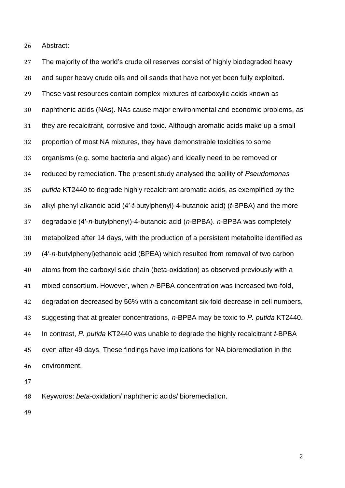Abstract:

 The majority of the world's crude oil reserves consist of highly biodegraded heavy and super heavy crude oils and oil sands that have not yet been fully exploited. These vast resources contain complex mixtures of carboxylic acids known as naphthenic acids (NAs). NAs cause major environmental and economic problems, as they are recalcitrant, corrosive and toxic. Although aromatic acids make up a small proportion of most NA mixtures, they have demonstrable toxicities to some organisms (e.g. some bacteria and algae) and ideally need to be removed or reduced by remediation. The present study analysed the ability of *Pseudomonas putida* KT2440 to degrade highly recalcitrant aromatic acids, as exemplified by the alkyl phenyl alkanoic acid (4′-*t*-butylphenyl)-4-butanoic acid) (*t*-BPBA) and the more degradable (4′-*n*-butylphenyl)-4-butanoic acid (*n*-BPBA). *n*-BPBA was completely metabolized after 14 days, with the production of a persistent metabolite identified as (4′-*n*-butylphenyl)ethanoic acid (BPEA) which resulted from removal of two carbon atoms from the carboxyl side chain (beta-oxidation) as observed previously with a mixed consortium. However, when *n*-BPBA concentration was increased two-fold, degradation decreased by 56% with a concomitant six-fold decrease in cell numbers, suggesting that at greater concentrations, *n*-BPBA may be toxic to *P. putida* KT2440. In contrast, *P. putida* KT2440 was unable to degrade the highly recalcitrant *t*-BPBA even after 49 days. These findings have implications for NA bioremediation in the environment.

Keywords: *beta-*oxidation/ naphthenic acids/ bioremediation.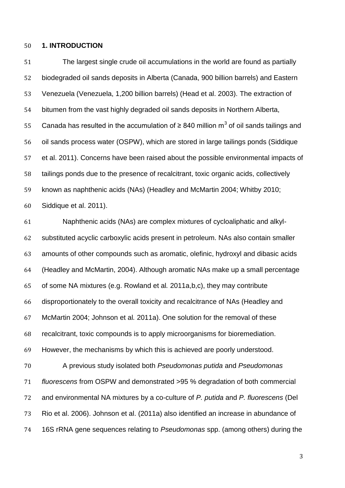# **1. INTRODUCTION**

 The largest single crude oil accumulations in the world are found as partially biodegraded oil sands deposits in Alberta (Canada, 900 billion barrels) and Eastern Venezuela (Venezuela, 1,200 billion barrels) (Head et al. 2003). The extraction of bitumen from the vast highly degraded oil sands deposits in Northern Alberta, 55 Canada has resulted in the accumulation of  $\geq 840$  million m<sup>3</sup> of oil sands tailings and oil sands process water (OSPW), which are stored in large tailings ponds (Siddique et al. 2011). Concerns have been raised about the possible environmental impacts of tailings ponds due to the presence of recalcitrant, toxic organic acids, collectively known as naphthenic acids (NAs) (Headley and McMartin 2004; Whitby 2010; Siddique et al. 2011).

 Naphthenic acids (NAs) are complex mixtures of cycloaliphatic and alkyl- substituted acyclic carboxylic acids present in petroleum. NAs also contain smaller amounts of other compounds such as aromatic, olefinic, hydroxyl and dibasic acids (Headley and McMartin, 2004). Although aromatic NAs make up a small percentage of some NA mixtures (e.g. Rowland et al*.* 2011a,b,c), they may contribute disproportionately to the overall toxicity and recalcitrance of NAs (Headley and McMartin 2004; Johnson et al*.* 2011a). One solution for the removal of these recalcitrant, toxic compounds is to apply microorganisms for bioremediation. However, the mechanisms by which this is achieved are poorly understood. A previous study isolated both *Pseudomonas putida* and *Pseudomonas fluorescens* from OSPW and demonstrated >95 % degradation of both commercial and environmental NA mixtures by a co-culture of *P. putida* and *P. fluorescens* (Del Rio et al. 2006). Johnson et al. (2011a) also identified an increase in abundance of

16S rRNA gene sequences relating to *Pseudomonas* spp. (among others) during the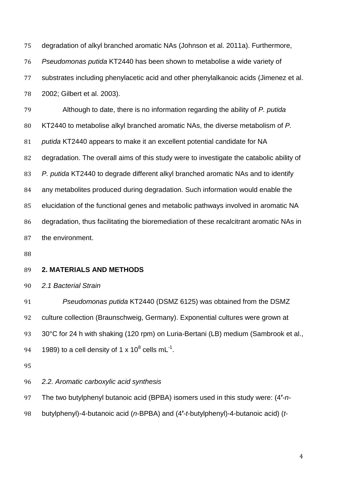degradation of alkyl branched aromatic NAs (Johnson et al. 2011a). Furthermore, *Pseudomonas putida* KT2440 has been shown to metabolise a wide variety of substrates including phenylacetic acid and other phenylalkanoic acids (Jimenez et al. 2002; Gilbert et al. 2003).

 Although to date, there is no information regarding the ability of *P. putida* KT2440 to metabolise alkyl branched aromatic NAs, the diverse metabolism of *P. putida* KT2440 appears to make it an excellent potential candidate for NA degradation. The overall aims of this study were to investigate the catabolic ability of *P. putida* KT2440 to degrade different alkyl branched aromatic NAs and to identify any metabolites produced during degradation. Such information would enable the elucidation of the functional genes and metabolic pathways involved in aromatic NA degradation, thus facilitating the bioremediation of these recalcitrant aromatic NAs in the environment.

# **2. MATERIALS AND METHODS**

*2.1 Bacterial Strain*

 *Pseudomonas putida* KT2440 (DSMZ 6125) was obtained from the DSMZ culture collection (Braunschweig, Germany). Exponential cultures were grown at 93 30°C for 24 h with shaking (120 rpm) on Luria-Bertani (LB) medium (Sambrook et al., 94 1989) to a cell density of 1 x 10<sup>8</sup> cells mL<sup>-1</sup>.

*2.2. Aromatic carboxylic acid synthesis*

The two butylphenyl butanoic acid (BPBA) isomers used in this study were: (4**′**-*n*-

butylphenyl)-4-butanoic acid (*n*-BPBA) and (4**′**-*t*-butylphenyl)-4-butanoic acid) (*t*-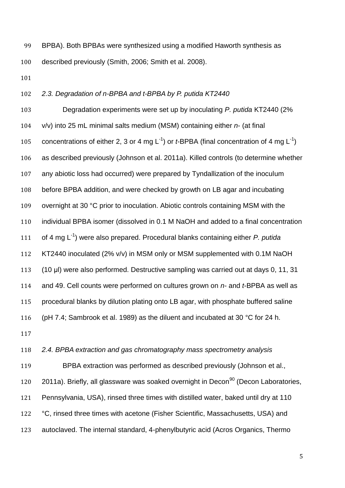BPBA). Both BPBAs were synthesized using a modified Haworth synthesis as described previously (Smith, 2006; Smith et al. 2008).

# *2.3. Degradation of n-BPBA and t-BPBA by P. putida KT2440*

 Degradation experiments were set up by inoculating *P. putida* KT2440 (2% v/v) into 25 mL minimal salts medium (MSM) containing either *n*- (at final 105 concentrations of either 2, 3 or 4 mg  $L^{-1}$ ) or *t*-BPBA (final concentration of 4 mg  $L^{-1}$ ) as described previously (Johnson et al. 2011a). Killed controls (to determine whether any abiotic loss had occurred) were prepared by Tyndallization of the inoculum before BPBA addition, and were checked by growth on LB agar and incubating 109 overnight at 30 °C prior to inoculation. Abiotic controls containing MSM with the individual BPBA isomer (dissolved in 0.1 M NaOH and added to a final concentration 111 of 4 mg L<sup>-1</sup>) were also prepared. Procedural blanks containing either *P. putida*  KT2440 inoculated (2% v/v) in MSM only or MSM supplemented with 0.1M NaOH (10 μl) were also performed. Destructive sampling was carried out at days 0, 11, 31 and 49. Cell counts were performed on cultures grown on *n*- and *t*-BPBA as well as procedural blanks by dilution plating onto LB agar, with phosphate buffered saline 116 (pH 7.4; Sambrook et al. 1989) as the diluent and incubated at 30 °C for 24 h.

#### *2.4. BPBA extraction and gas chromatography mass spectrometry analysis*

 BPBA extraction was performed as described previously (Johnson et al.,  $2011a$ ). Briefly, all glassware was soaked overnight in Decon<sup>90</sup> (Decon Laboratories, Pennsylvania, USA), rinsed three times with distilled water, baked until dry at 110 122 °C, rinsed three times with acetone (Fisher Scientific, Massachusetts, USA) and autoclaved. The internal standard, 4-phenylbutyric acid (Acros Organics, Thermo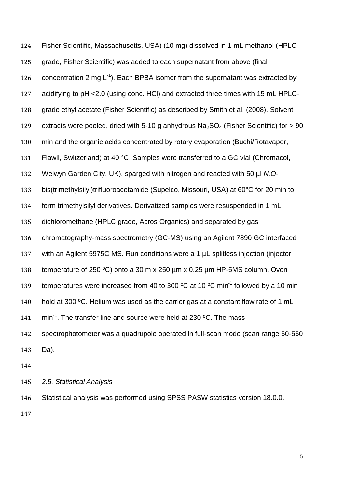Fisher Scientific, Massachusetts, USA) (10 mg) dissolved in 1 mL methanol (HPLC grade, Fisher Scientific) was added to each supernatant from above (final 126 concentration 2 mg  $L^{-1}$ ). Each BPBA isomer from the supernatant was extracted by acidifying to pH <2.0 (using conc. HCl) and extracted three times with 15 mL HPLC- grade ethyl acetate (Fisher Scientific) as described by Smith et al. (2008). Solvent 129 extracts were pooled, dried with 5-10 g anhydrous  $Na<sub>2</sub>SO<sub>4</sub>$  (Fisher Scientific) for  $> 90$  min and the organic acids concentrated by rotary evaporation (Buchi/Rotavapor, Flawil, Switzerland) at 40 °C. Samples were transferred to a GC vial (Chromacol, Welwyn Garden City, UK), sparged with nitrogen and reacted with 50 µl *N,O*- bis(trimethylsilyl)trifluoroacetamide (Supelco, Missouri, USA) at 60°C for 20 min to form trimethylsilyl derivatives. Derivatized samples were resuspended in 1 mL dichloromethane (HPLC grade, Acros Organics) and separated by gas chromatography-mass spectrometry (GC-MS) using an Agilent 7890 GC interfaced with an Agilent 5975C MS. Run conditions were a 1 µL splitless injection (injector temperature of 250 ºC) onto a 30 m x 250 µm x 0.25 µm HP-5MS column. Oven 139 temperatures were increased from 40 to 300  $^{\circ}$ C at 10  $^{\circ}$ C min<sup>-1</sup> followed by a 10 min 140 hold at 300 °C. Helium was used as the carrier gas at a constant flow rate of 1 mL  $\mathrm{min}^1$ . The transfer line and source were held at 230 °C. The mass spectrophotometer was a quadrupole operated in full-scan mode (scan range 50-550 Da). 

*2.5. Statistical Analysis*

Statistical analysis was performed using SPSS PASW statistics version 18.0.0.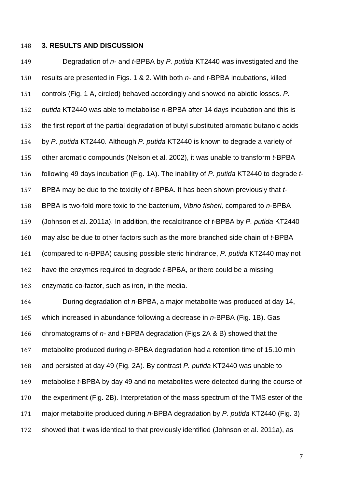### **3. RESULTS AND DISCUSSION**

 Degradation of *n-* and *t-*BPBA by *P. putida* KT2440 was investigated and the results are presented in Figs. 1 & 2. With both *n*- and *t*-BPBA incubations, killed controls (Fig. 1 A, circled) behaved accordingly and showed no abiotic losses. *P. putida* KT2440 was able to metabolise *n*-BPBA after 14 days incubation and this is the first report of the partial degradation of butyl substituted aromatic butanoic acids by *P. putida* KT2440. Although *P. putida* KT2440 is known to degrade a variety of other aromatic compounds (Nelson et al. 2002), it was unable to transform *t*-BPBA following 49 days incubation (Fig. 1A). The inability of *P. putida* KT2440 to degrade *t*- BPBA may be due to the toxicity of *t*-BPBA. It has been shown previously that *t*- BPBA is two-fold more toxic to the bacterium, *Vibrio fisheri,* compared to *n*-BPBA (Johnson et al. 2011a). In addition, the recalcitrance of *t*-BPBA by *P. putida* KT2440 may also be due to other factors such as the more branched side chain of *t*-BPBA (compared to *n-*BPBA) causing possible steric hindrance, *P. putida* KT2440 may not have the enzymes required to degrade *t*-BPBA, or there could be a missing enzymatic co-factor, such as iron, in the media.

 During degradation of *n*-BPBA, a major metabolite was produced at day 14, which increased in abundance following a decrease in *n*-BPBA (Fig. 1B). Gas chromatograms of *n*- and *t*-BPBA degradation (Figs 2A & B) showed that the metabolite produced during *n*-BPBA degradation had a retention time of 15.10 min and persisted at day 49 (Fig. 2A). By contrast *P. putida* KT2440 was unable to metabolise *t*-BPBA by day 49 and no metabolites were detected during the course of the experiment (Fig. 2B). Interpretation of the mass spectrum of the TMS ester of the major metabolite produced during *n*-BPBA degradation by *P. putida* KT2440 (Fig. 3) showed that it was identical to that previously identified (Johnson et al. 2011a), as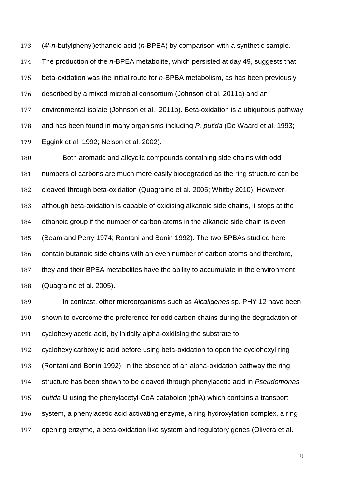(4'-*n-*butylphenyl)ethanoic acid (*n-*BPEA) by comparison with a synthetic sample. The production of the *n-*BPEA metabolite, which persisted at day 49, suggests that beta-oxidation was the initial route for *n*-BPBA metabolism, as has been previously described by a mixed microbial consortium (Johnson et al. 2011a) and an environmental isolate (Johnson et al., 2011b). Beta-oxidation is a ubiquitous pathway and has been found in many organisms including *P. putida* (De Waard et al. 1993; Eggink et al. 1992; Nelson et al. 2002).

 Both aromatic and alicyclic compounds containing side chains with odd numbers of carbons are much more easily biodegraded as the ring structure can be cleaved through beta-oxidation (Quagraine et al. 2005; Whitby 2010). However, although beta-oxidation is capable of oxidising alkanoic side chains, it stops at the ethanoic group if the number of carbon atoms in the alkanoic side chain is even (Beam and Perry 1974; Rontani and Bonin 1992). The two BPBAs studied here contain butanoic side chains with an even number of carbon atoms and therefore, they and their BPEA metabolites have the ability to accumulate in the environment (Quagraine et al. 2005).

 In contrast, other microorganisms such as *Alcaligenes* sp. PHY 12 have been shown to overcome the preference for odd carbon chains during the degradation of cyclohexylacetic acid, by initially alpha-oxidising the substrate to cyclohexylcarboxylic acid before using beta-oxidation to open the cyclohexyl ring (Rontani and Bonin 1992). In the absence of an alpha-oxidation pathway the ring structure has been shown to be cleaved through phenylacetic acid in *Pseudomonas putida* U using the phenylacetyl-CoA catabolon (phA) which contains a transport system, a phenylacetic acid activating enzyme, a ring hydroxylation complex, a ring opening enzyme, a beta-oxidation like system and regulatory genes (Olivera et al.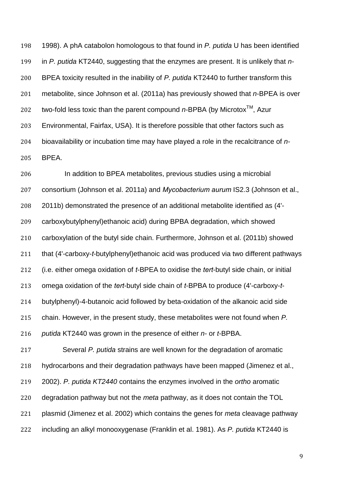1998). A phA catabolon homologous to that found in *P. putida* U has been identified in *P. putida* KT2440, suggesting that the enzymes are present. It is unlikely that *n*- BPEA toxicity resulted in the inability of *P. putida* KT2440 to further transform this metabolite, since Johnson et al. (2011a) has previously showed that *n*-BPEA is over 202 two-fold less toxic than the parent compound  $n$ -BPBA (by Microtox<sup>™</sup>, Azur Environmental, Fairfax, USA). It is therefore possible that other factors such as bioavailability or incubation time may have played a role in the recalcitrance of *n*-BPEA.

 In addition to BPEA metabolites, previous studies using a microbial consortium (Johnson et al. 2011a) and *Mycobacterium aurum* IS2.3 (Johnson et al., 2011b) demonstrated the presence of an additional metabolite identified as (4'- carboxybutylphenyl)ethanoic acid) during BPBA degradation, which showed carboxylation of the butyl side chain. Furthermore, Johnson et al. (2011b) showed that (4'-carboxy-*t*-butylphenyl)ethanoic acid was produced via two different pathways (i.e. either omega oxidation of *t*-BPEA to oxidise the *tert*-butyl side chain, or initial omega oxidation of the *tert*-butyl side chain of *t*-BPBA to produce (4'-carboxy-*t*- butylphenyl)-4-butanoic acid followed by beta-oxidation of the alkanoic acid side chain. However, in the present study, these metabolites were not found when *P. putida* KT2440 was grown in the presence of either *n*- or *t*-BPBA.

 Several *P. putida* strains are well known for the degradation of aromatic hydrocarbons and their degradation pathways have been mapped (Jimenez et al., 2002). *P. putida KT2440* contains the enzymes involved in the *ortho* aromatic degradation pathway but not the *meta* pathway, as it does not contain the TOL plasmid (Jimenez et al. 2002) which contains the genes for *meta* cleavage pathway including an alkyl monooxygenase (Franklin et al. 1981). As *P. putida* KT2440 is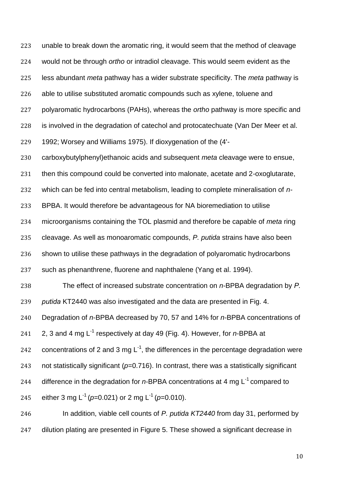unable to break down the aromatic ring, it would seem that the method of cleavage would not be through *ortho* or intradiol cleavage. This would seem evident as the less abundant *meta* pathway has a wider substrate specificity. The *meta* pathway is able to utilise substituted aromatic compounds such as xylene, toluene and polyaromatic hydrocarbons (PAHs), whereas the *ortho* pathway is more specific and is involved in the degradation of catechol and protocatechuate (Van Der Meer et al. 1992; Worsey and Williams 1975). If dioxygenation of the (4'- carboxybutylphenyl)ethanoic acids and subsequent *meta* cleavage were to ensue, then this compound could be converted into malonate, acetate and 2-oxoglutarate, which can be fed into central metabolism, leading to complete mineralisation of *n-* BPBA. It would therefore be advantageous for NA bioremediation to utilise microorganisms containing the TOL plasmid and therefore be capable of *meta* ring cleavage. As well as monoaromatic compounds, *P. putida* strains have also been shown to utilise these pathways in the degradation of polyaromatic hydrocarbons such as phenanthrene, fluorene and naphthalene (Yang et al. 1994). The effect of increased substrate concentration on *n*-BPBA degradation by *P. putida* KT2440 was also investigated and the data are presented in Fig. 4. Degradation of *n*-BPBA decreased by 70, 57 and 14% for *n*-BPBA concentrations of 241 2, 3 and 4 mg L<sup>-1</sup> respectively at day 49 (Fig. 4). However, for *n*-BPBA at 242 concentrations of 2 and 3 mg  $L^{-1}$ , the differences in the percentage degradation were not statistically significant (*p*=0.716). In contrast, there was a statistically significant 244 difference in the degradation for  $n$ -BPBA concentrations at 4 mg  $L^{-1}$  compared to 245 either 3 mg L<sup>-1</sup> (p=0.021) or 2 mg L<sup>-1</sup> (p=0.010). In addition, viable cell counts of *P. putida KT2440* from day 31, performed by

dilution plating are presented in Figure 5. These showed a significant decrease in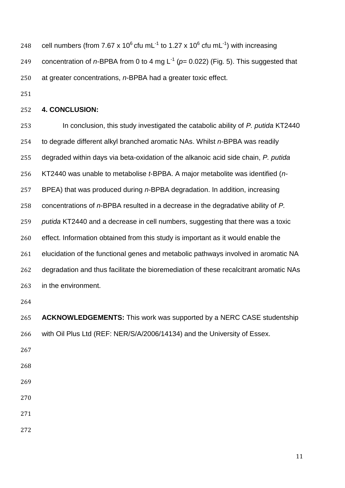248 cell numbers (from 7.67 x 10<sup>6</sup> cfu mL<sup>-1</sup> to 1.27 x 10<sup>6</sup> cfu mL<sup>-1</sup>) with increasing 249 concentration of n-BPBA from 0 to 4 mg  $L^{-1}$  ( $p= 0.022$ ) (Fig. 5). This suggested that at greater concentrations, *n*-BPBA had a greater toxic effect.

# **4. CONCLUSION:**

 In conclusion, this study investigated the catabolic ability of *P. putida* KT2440 to degrade different alkyl branched aromatic NAs. Whilst *n*-BPBA was readily degraded within days via beta-oxidation of the alkanoic acid side chain, *P. putida* KT2440 was unable to metabolise *t*-BPBA. A major metabolite was identified (*n*- BPEA) that was produced during *n*-BPBA degradation. In addition, increasing concentrations of *n*-BPBA resulted in a decrease in the degradative ability of *P. putida* KT2440 and a decrease in cell numbers, suggesting that there was a toxic effect. Information obtained from this study is important as it would enable the elucidation of the functional genes and metabolic pathways involved in aromatic NA degradation and thus facilitate the bioremediation of these recalcitrant aromatic NAs in the environment.

 **ACKNOWLEDGEMENTS:** This work was supported by a NERC CASE studentship with Oil Plus Ltd (REF: NER/S/A/2006/14134) and the University of Essex.

- 
- 
- 
- 
- 
-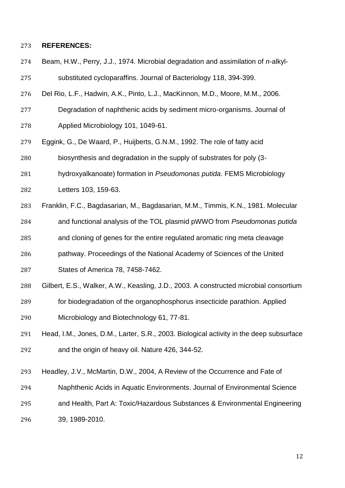#### **REFERENCES:**

- Beam, H.W., Perry, J.J., 1974. Microbial degradation and assimilation of *n*-alkyl-substituted cycloparaffins. Journal of Bacteriology 118, 394-399.
- Del Rio, L.F., Hadwin, A.K., Pinto, L.J., MacKinnon, M.D., Moore, M.M., 2006.
- Degradation of naphthenic acids by sediment micro-organisms. Journal of Applied Microbiology 101, 1049-61.
- Eggink, G., De Waard, P., Huijberts, G.N.M., 1992. The role of fatty acid
- biosynthesis and degradation in the supply of substrates for poly (3-
- hydroxyalkanoate) formation in *Pseudomonas putida*. FEMS Microbiology
- Letters 103, 159-63.
- Franklin, F.C., Bagdasarian, M., Bagdasarian, M.M., Timmis, K.N., 1981. Molecular
- and functional analysis of the TOL plasmid pWWO from *Pseudomonas putida*
- and cloning of genes for the entire regulated aromatic ring meta cleavage
- pathway. Proceedings of the National Academy of Sciences of the United States of America 78, 7458-7462.
- Gilbert, E.S., Walker, A.W., Keasling, J.D., 2003. A constructed microbial consortium
- for biodegradation of the organophosphorus insecticide parathion. Applied Microbiology and Biotechnology 61, 77-81.
- Head, I.M., Jones, D.M., Larter, S.R., 2003. Biological activity in the deep subsurface and the origin of heavy oil. Nature 426, 344-52.
- Headley, J.V., McMartin, D.W., 2004, A Review of the Occurrence and Fate of
- Naphthenic Acids in Aquatic Environments. Journal of Environmental Science
- and Health, Part A: Toxic/Hazardous Substances & Environmental Engineering
- 39, 1989-2010.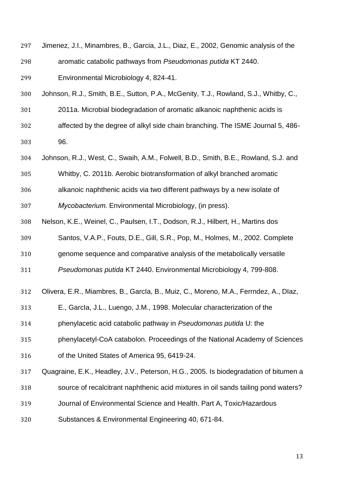Jimenez, J.I., Minambres, B., Garcia, J.L., Diaz, E., 2002, Genomic analysis of the aromatic catabolic pathways from *Pseudomonas putida* KT 2440.

Environmental Microbiology 4, 824-41.

- Johnson, R.J., Smith, B.E., Sutton, P.A., McGenity, T.J., Rowland, S.J., Whitby, C.,
- 2011a. Microbial biodegradation of aromatic alkanoic naphthenic acids is
- affected by the degree of alkyl side chain branching. The ISME Journal 5, 486-

96.

- Johnson, R.J., West, C., Swaih, A.M., Folwell, B.D., Smith, B.E., Rowland, S.J. and
- Whitby, C. 2011b. Aerobic biotransformation of alkyl branched aromatic
- alkanoic naphthenic acids via two different pathways by a new isolate of
- *Mycobacterium*. Environmental Microbiology, (in press).
- Nelson, K.E., Weinel, C., Paulsen, I.T., Dodson, R.J., Hilbert, H., Martins dos
- Santos, V.A.P., Fouts, D.E., Gill, S.R., Pop, M., Holmes, M., 2002. Complete
- genome sequence and comparative analysis of the metabolically versatile
- *Pseudomonas putida* KT 2440. Environmental Microbiology 4, 799-808.
- Olivera, E.R., Miambres, B., GarcIa, B., Muiz, C., Moreno, M.A., Ferrndez, A., DIaz,
- E., GarcIa, J.L., Luengo, J.M., 1998. Molecular characterization of the
- phenylacetic acid catabolic pathway in *Pseudomonas putida* U: the
- phenylacetyl-CoA catabolon. Proceedings of the National Academy of Sciences
- of the United States of America 95, 6419-24.
- Quagraine, E.K., Headley, J.V., Peterson, H.G., 2005. Is biodegradation of bitumen a
- source of recalcitrant naphthenic acid mixtures in oil sands tailing pond waters?
- Journal of Environmental Science and Health. Part A, Toxic/Hazardous
- Substances & Environmental Engineering 40, 671-84.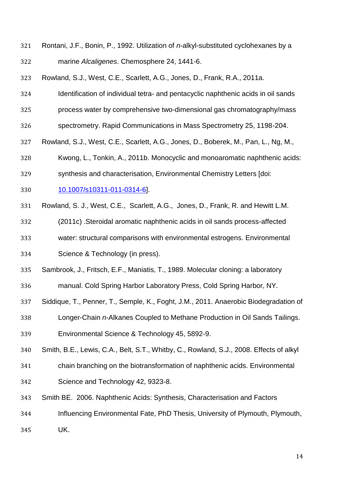- Rontani, J.F., Bonin, P., 1992. Utilization of *n*-alkyl-substituted cyclohexanes by a marine *Alcaligenes*. Chemosphere 24, 1441-6.
- Rowland, S.J., West, C.E., Scarlett, A.G., Jones, D., Frank, R.A., 2011a.
- Identification of individual tetra- and pentacyclic naphthenic acids in oil sands
- process water by comprehensive two-dimensional gas chromatography/mass
- spectrometry. Rapid Communications in Mass Spectrometry 25, 1198-204.
- Rowland, S.J., West, C.E., Scarlett, A.G., Jones, D., Boberek, M., Pan, L., Ng, M.,
- Kwong, L., Tonkin, A., 2011b. Monocyclic and monoaromatic naphthenic acids:
- synthesis and characterisation, Environmental Chemistry Letters [doi:
- [10.1007/s10311-011-0314-6\]](http://dx.doi.org/10.1007/s10311-011-0314-6).
- Rowland, S. J., West, C.E., Scarlett, A.G., Jones, D., Frank, R. and Hewitt L.M.
- (2011c) .Steroidal aromatic naphthenic acids in oil sands process-affected
- water: structural comparisons with environmental estrogens. Environmental
- Science & Technology (in press).
- Sambrook, J., Fritsch, E.F., Maniatis, T., 1989. Molecular cloning: a laboratory
- manual. Cold Spring Harbor Laboratory Press, Cold Spring Harbor, NY.
- Siddique, T., Penner, T., Semple, K., Foght, J.M., 2011. Anaerobic Biodegradation of
- Longer-Chain *n*-Alkanes Coupled to Methane Production in Oil Sands Tailings. Environmental Science & Technology 45, 5892-9.
- Smith, B.E., Lewis, C.A., Belt, S.T., Whitby, C., Rowland, S.J., 2008. Effects of alkyl
- chain branching on the biotransformation of naphthenic acids. Environmental Science and Technology 42, 9323-8.
- Smith BE. 2006. Naphthenic Acids: Synthesis, Characterisation and Factors
- Influencing Environmental Fate, PhD Thesis, University of Plymouth, Plymouth,
- UK.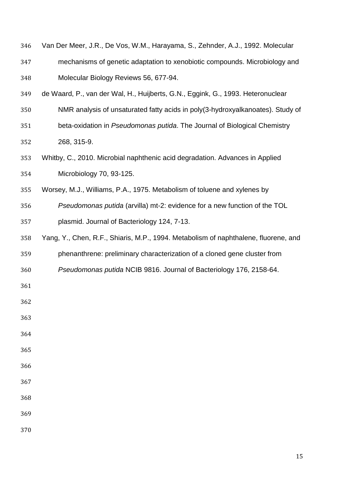| 346 | Van Der Meer, J.R., De Vos, W.M., Harayama, S., Zehnder, A.J., 1992. Molecular      |
|-----|-------------------------------------------------------------------------------------|
| 347 | mechanisms of genetic adaptation to xenobiotic compounds. Microbiology and          |
| 348 | Molecular Biology Reviews 56, 677-94.                                               |
| 349 | de Waard, P., van der Wal, H., Huijberts, G.N., Eggink, G., 1993. Heteronuclear     |
| 350 | NMR analysis of unsaturated fatty acids in poly(3-hydroxyalkanoates). Study of      |
| 351 | beta-oxidation in Pseudomonas putida. The Journal of Biological Chemistry           |
| 352 | 268, 315-9.                                                                         |
| 353 | Whitby, C., 2010. Microbial naphthenic acid degradation. Advances in Applied        |
| 354 | Microbiology 70, 93-125.                                                            |
| 355 | Worsey, M.J., Williams, P.A., 1975. Metabolism of toluene and xylenes by            |
| 356 | Pseudomonas putida (arvilla) mt-2: evidence for a new function of the TOL           |
| 357 | plasmid. Journal of Bacteriology 124, 7-13.                                         |
| 358 | Yang, Y., Chen, R.F., Shiaris, M.P., 1994. Metabolism of naphthalene, fluorene, and |
| 359 | phenanthrene: preliminary characterization of a cloned gene cluster from            |
| 360 | Pseudomonas putida NCIB 9816. Journal of Bacteriology 176, 2158-64.                 |
| 361 |                                                                                     |
| 362 |                                                                                     |
| 363 |                                                                                     |
| 364 |                                                                                     |
| 365 |                                                                                     |
| 366 |                                                                                     |
| 367 |                                                                                     |
| 368 |                                                                                     |
| 369 |                                                                                     |
| 370 |                                                                                     |
|     |                                                                                     |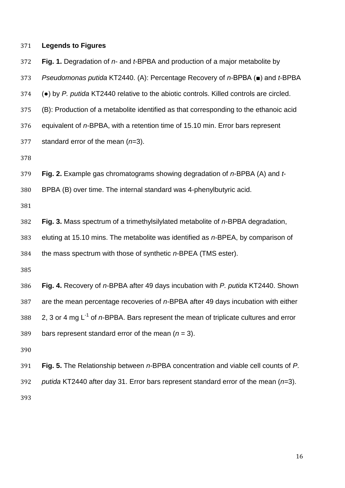| 371 | <b>Legends to Figures</b>                                                                      |
|-----|------------------------------------------------------------------------------------------------|
| 372 | Fig. 1. Degradation of $n$ - and $t$ -BPBA and production of a major metabolite by             |
| 373 | Pseudomonas putida KT2440. (A): Percentage Recovery of $n$ -BPBA ( $\blacksquare$ ) and t-BPBA |
| 374 | $\bullet$ ) by P. putida KT2440 relative to the abiotic controls. Killed controls are circled. |
| 375 | (B): Production of a metabolite identified as that corresponding to the ethanoic acid          |
| 376 | equivalent of n-BPBA, with a retention time of 15.10 min. Error bars represent                 |
| 377 | standard error of the mean $(n=3)$ .                                                           |
| 378 |                                                                                                |
| 379 | Fig. 2. Example gas chromatograms showing degradation of $n$ -BPBA (A) and $t$ -               |
| 380 | BPBA (B) over time. The internal standard was 4-phenylbutyric acid.                            |
| 381 |                                                                                                |
| 382 | Fig. 3. Mass spectrum of a trimethylsilylated metabolite of n-BPBA degradation,                |
| 383 | eluting at 15.10 mins. The metabolite was identified as n-BPEA, by comparison of               |
| 384 | the mass spectrum with those of synthetic n-BPEA (TMS ester).                                  |
| 385 |                                                                                                |
| 386 | Fig. 4. Recovery of n-BPBA after 49 days incubation with P. putida KT2440. Shown               |
| 387 | are the mean percentage recoveries of n-BPBA after 49 days incubation with either              |
| 388 | 2, 3 or 4 mg $L^{-1}$ of n-BPBA. Bars represent the mean of triplicate cultures and error      |
| 389 | bars represent standard error of the mean $(n = 3)$ .                                          |
| 390 |                                                                                                |
| 391 | Fig. 5. The Relationship between n-BPBA concentration and viable cell counts of P.             |
| 392 | putida KT2440 after day 31. Error bars represent standard error of the mean $(n=3)$ .          |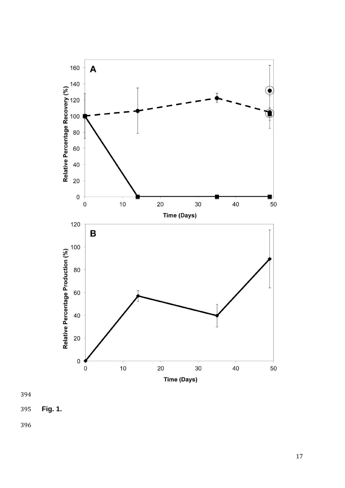

**Fig. 1 .**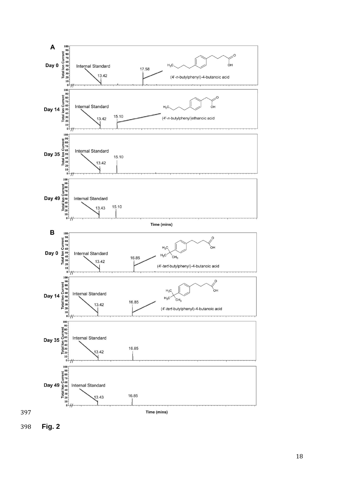

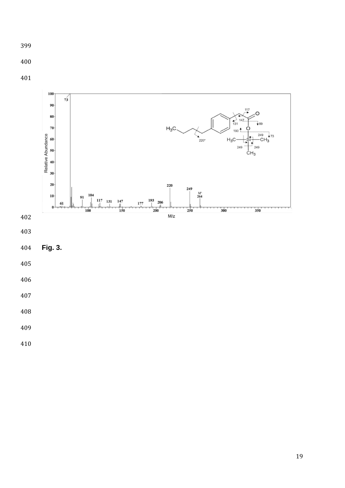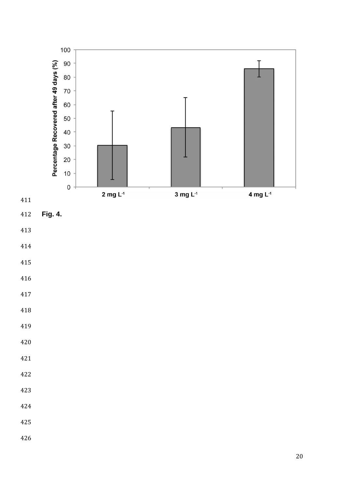